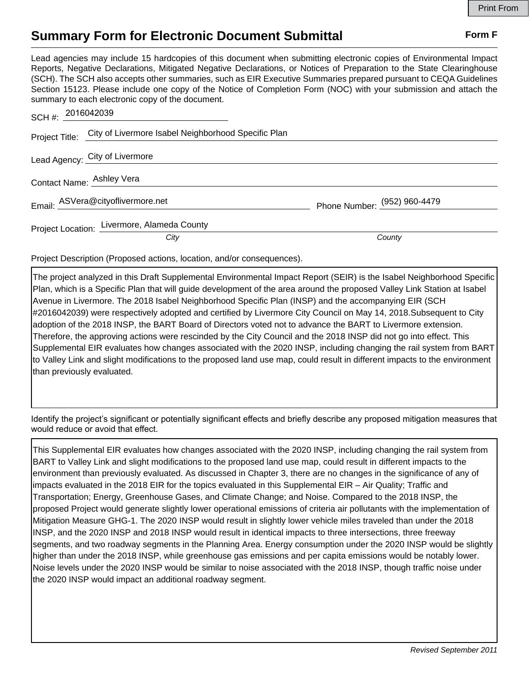## **Summary Form for Electronic Document Submittal Form F Form F**

Lead agencies may include 15 hardcopies of this document when submitting electronic copies of Environmental Impact Reports, Negative Declarations, Mitigated Negative Declarations, or Notices of Preparation to the State Clearinghouse (SCH). The SCH also accepts other summaries, such as EIR Executive Summaries prepared pursuant to CEQA Guidelines Section 15123. Please include one copy of the Notice of Completion Form (NOC) with your submission and attach the summary to each electronic copy of the document.

| SCH #: 2016042039                                                  |                              |
|--------------------------------------------------------------------|------------------------------|
| Project Title: City of Livermore Isabel Neighborhood Specific Plan |                              |
| Lead Agency: City of Livermore                                     |                              |
| Contact Name: Ashley Vera                                          |                              |
| Email: ASVera@cityoflivermore.net                                  | Phone Number: (952) 960-4479 |
| Project Location: Livermore, Alameda County                        | County                       |
| City                                                               |                              |

Project Description (Proposed actions, location, and/or consequences).

The project analyzed in this Draft Supplemental Environmental Impact Report (SEIR) is the Isabel Neighborhood Specific Plan, which is a Specific Plan that will guide development of the area around the proposed Valley Link Station at Isabel Avenue in Livermore. The 2018 Isabel Neighborhood Specific Plan (INSP) and the accompanying EIR (SCH #2016042039) were respectively adopted and certified by Livermore City Council on May 14, 2018.Subsequent to City adoption of the 2018 INSP, the BART Board of Directors voted not to advance the BART to Livermore extension. Therefore, the approving actions were rescinded by the City Council and the 2018 INSP did not go into effect. This Supplemental EIR evaluates how changes associated with the 2020 INSP, including changing the rail system from BART to Valley Link and slight modifications to the proposed land use map, could result in different impacts to the environment than previously evaluated.

Identify the project's significant or potentially significant effects and briefly describe any proposed mitigation measures that would reduce or avoid that effect.

This Supplemental EIR evaluates how changes associated with the 2020 INSP, including changing the rail system from BART to Valley Link and slight modifications to the proposed land use map, could result in different impacts to the environment than previously evaluated. As discussed in Chapter 3, there are no changes in the significance of any of impacts evaluated in the 2018 EIR for the topics evaluated in this Supplemental EIR – Air Quality; Traffic and Transportation; Energy, Greenhouse Gases, and Climate Change; and Noise. Compared to the 2018 INSP, the proposed Project would generate slightly lower operational emissions of criteria air pollutants with the implementation of Mitigation Measure GHG-1. The 2020 INSP would result in slightly lower vehicle miles traveled than under the 2018 INSP, and the 2020 INSP and 2018 INSP would result in identical impacts to three intersections, three freeway segments, and two roadway segments in the Planning Area. Energy consumption under the 2020 INSP would be slightly higher than under the 2018 INSP, while greenhouse gas emissions and per capita emissions would be notably lower. Noise levels under the 2020 INSP would be similar to noise associated with the 2018 INSP, though traffic noise under the 2020 INSP would impact an additional roadway segment.